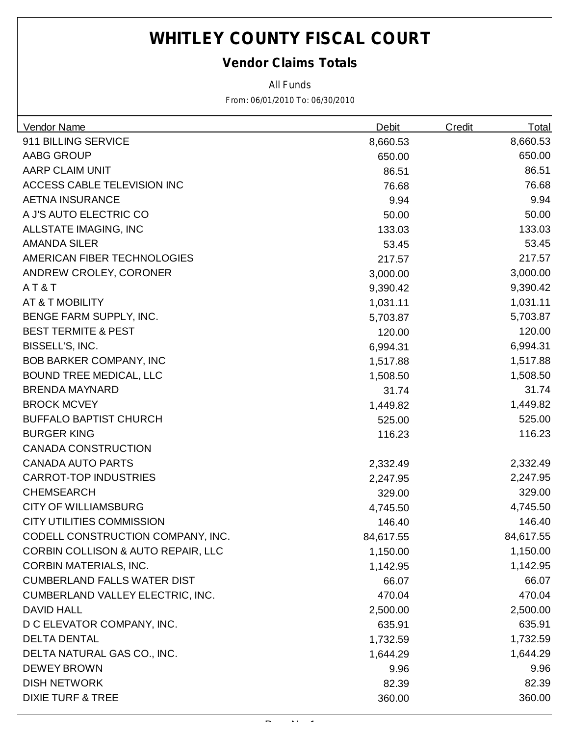### *Vendor Claims Totals*

*All Funds*

| Vendor Name                                   | <b>Debit</b> | <b>Credit</b> | <b>Total</b> |
|-----------------------------------------------|--------------|---------------|--------------|
| 911 BILLING SERVICE                           | 8,660.53     |               | 8,660.53     |
| AABG GROUP                                    | 650.00       |               | 650.00       |
| AARP CLAIM UNIT                               | 86.51        |               | 86.51        |
| ACCESS CABLE TELEVISION INC                   | 76.68        |               | 76.68        |
| <b>AETNA INSURANCE</b>                        | 9.94         |               | 9.94         |
| A J'S AUTO ELECTRIC CO                        | 50.00        |               | 50.00        |
| ALLSTATE IMAGING, INC                         | 133.03       |               | 133.03       |
| <b>AMANDA SILER</b>                           | 53.45        |               | 53.45        |
| AMERICAN FIBER TECHNOLOGIES                   | 217.57       |               | 217.57       |
| ANDREW CROLEY, CORONER                        | 3,000.00     |               | 3,000.00     |
| AT&T                                          | 9,390.42     |               | 9,390.42     |
| AT & T MOBILITY                               | 1,031.11     |               | 1,031.11     |
| BENGE FARM SUPPLY, INC.                       | 5,703.87     |               | 5,703.87     |
| <b>BEST TERMITE &amp; PEST</b>                | 120.00       |               | 120.00       |
| BISSELL'S, INC.                               | 6,994.31     |               | 6,994.31     |
| <b>BOB BARKER COMPANY, INC</b>                | 1,517.88     |               | 1,517.88     |
| <b>BOUND TREE MEDICAL, LLC</b>                | 1,508.50     |               | 1,508.50     |
| <b>BRENDA MAYNARD</b>                         | 31.74        |               | 31.74        |
| <b>BROCK MCVEY</b>                            | 1,449.82     |               | 1,449.82     |
| <b>BUFFALO BAPTIST CHURCH</b>                 | 525.00       |               | 525.00       |
| <b>BURGER KING</b>                            | 116.23       |               | 116.23       |
| <b>CANADA CONSTRUCTION</b>                    |              |               |              |
| <b>CANADA AUTO PARTS</b>                      | 2,332.49     |               | 2,332.49     |
| <b>CARROT-TOP INDUSTRIES</b>                  | 2,247.95     |               | 2,247.95     |
| <b>CHEMSEARCH</b>                             | 329.00       |               | 329.00       |
| <b>CITY OF WILLIAMSBURG</b>                   | 4,745.50     |               | 4,745.50     |
| <b>CITY UTILITIES COMMISSION</b>              | 146.40       |               | 146.40       |
| CODELL CONSTRUCTION COMPANY, INC              | 84,617.55    |               | 84,617.55    |
| <b>CORBIN COLLISON &amp; AUTO REPAIR, LLC</b> | 1,150.00     |               | 1,150.00     |
| <b>CORBIN MATERIALS, INC.</b>                 | 1,142.95     |               | 1,142.95     |
| <b>CUMBERLAND FALLS WATER DIST</b>            | 66.07        |               | 66.07        |
| CUMBERLAND VALLEY ELECTRIC, INC.              | 470.04       |               | 470.04       |
| <b>DAVID HALL</b>                             | 2,500.00     |               | 2,500.00     |
| D C ELEVATOR COMPANY, INC.                    | 635.91       |               | 635.91       |
| <b>DELTA DENTAL</b>                           | 1,732.59     |               | 1,732.59     |
| DELTA NATURAL GAS CO., INC.                   | 1,644.29     |               | 1,644.29     |
| <b>DEWEY BROWN</b>                            | 9.96         |               | 9.96         |
| <b>DISH NETWORK</b>                           | 82.39        |               | 82.39        |
| <b>DIXIE TURF &amp; TREE</b>                  | 360.00       |               | 360.00       |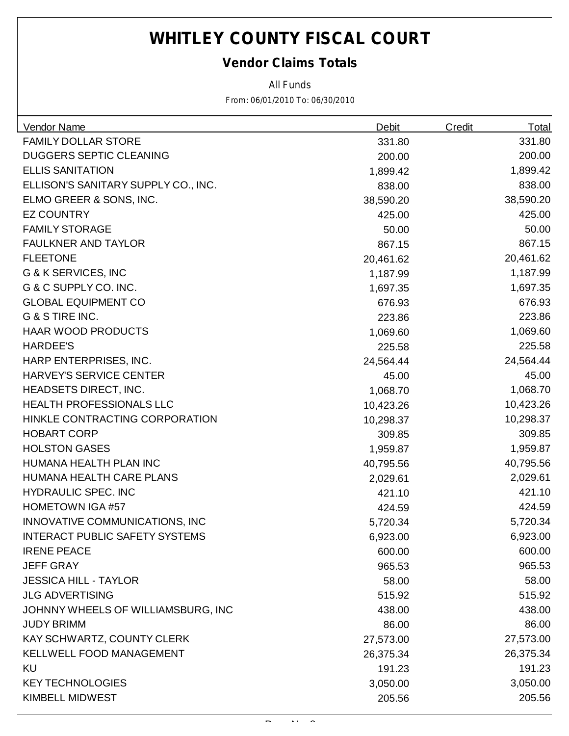### *Vendor Claims Totals*

*All Funds*

| Vendor Name                           | <b>Debit</b> | <b>Credit</b> | <u>Total</u> |
|---------------------------------------|--------------|---------------|--------------|
| <b>FAMILY DOLLAR STORE</b>            | 331.80       |               | 331.80       |
| <b>DUGGERS SEPTIC CLEANING</b>        | 200.00       |               | 200.00       |
| <b>ELLIS SANITATION</b>               | 1,899.42     |               | 1,899.42     |
| ELLISON'S SANITARY SUPPLY CO., INC.   | 838.00       |               | 838.00       |
| ELMO GREER & SONS, INC.               | 38,590.20    |               | 38,590.20    |
| <b>EZ COUNTRY</b>                     | 425.00       |               | 425.00       |
| <b>FAMILY STORAGE</b>                 | 50.00        |               | 50.00        |
| FAULKNER AND TAYLOR                   | 867.15       |               | 867.15       |
| <b>FLEETONE</b>                       | 20,461.62    |               | 20,461.62    |
| G & K SERVICES, INC                   | 1,187.99     |               | 1,187.99     |
| G & C SUPPLY CO. INC.                 | 1,697.35     |               | 1,697.35     |
| <b>GLOBAL EQUIPMENT CO</b>            | 676.93       |               | 676.93       |
| G & S TIRE INC.                       | 223.86       |               | 223.86       |
| <b>HAAR WOOD PRODUCTS</b>             | 1,069.60     |               | 1,069.60     |
| <b>HARDEE'S</b>                       | 225.58       |               | 225.58       |
| HARP ENTERPRISES, INC.                | 24,564.44    |               | 24,564.44    |
| <b>HARVEY'S SERVICE CENTER</b>        | 45.00        |               | 45.00        |
| <b>HEADSETS DIRECT, INC.</b>          | 1,068.70     |               | 1,068.70     |
| <b>HEALTH PROFESSIONALS LLC</b>       | 10,423.26    |               | 10,423.26    |
| HINKLE CONTRACTING CORPORATION        | 10,298.37    |               | 10,298.37    |
| <b>HOBART CORP</b>                    | 309.85       |               | 309.85       |
| <b>HOLSTON GASES</b>                  | 1,959.87     |               | 1,959.87     |
| HUMANA HEALTH PLAN INC                | 40,795.56    |               | 40,795.56    |
| HUMANA HEALTH CARE PLANS              | 2,029.61     |               | 2,029.61     |
| <b>HYDRAULIC SPEC. INC</b>            | 421.10       |               | 421.10       |
| <b>HOMETOWN IGA #57</b>               | 424.59       |               | 424.59       |
| INNOVATIVE COMMUNICATIONS, INC        | 5,720.34     |               | 5,720.34     |
| <b>INTERACT PUBLIC SAFETY SYSTEMS</b> | 6,923.00     |               | 6,923.00     |
| <b>IRENE PEACE</b>                    | 600.00       |               | 600.00       |
| <b>JEFF GRAY</b>                      | 965.53       |               | 965.53       |
| <b>JESSICA HILL - TAYLOR</b>          | 58.00        |               | 58.00        |
| <b>JLG ADVERTISING</b>                | 515.92       |               | 515.92       |
| JOHNNY WHEELS OF WILLIAMSBURG, INC    | 438.00       |               | 438.00       |
| <b>JUDY BRIMM</b>                     | 86.00        |               | 86.00        |
| KAY SCHWARTZ, COUNTY CLERK            | 27,573.00    |               | 27,573.00    |
| <b>KELLWELL FOOD MANAGEMENT</b>       | 26,375.34    |               | 26,375.34    |
| <b>KU</b>                             | 191.23       |               | 191.23       |
| <b>KEY TECHNOLOGIES</b>               | 3,050.00     |               | 3,050.00     |
| <b>KIMBELL MIDWEST</b>                | 205.56       |               | 205.56       |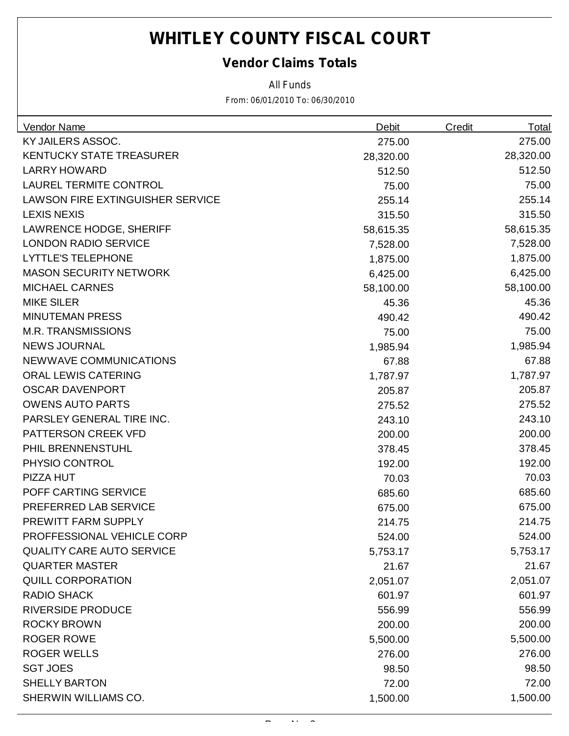#### *Vendor Claims Totals*

*All Funds*

| <b>Vendor Name</b>               | Debit     | <b>Credit</b> | <u>Total</u> |
|----------------------------------|-----------|---------------|--------------|
| KY JAILERS ASSOC.                | 275.00    |               | 275.00       |
| <b>KENTUCKY STATE TREASURER</b>  | 28,320.00 |               | 28,320.00    |
| <b>LARRY HOWARD</b>              | 512.50    |               | 512.50       |
| <b>LAUREL TERMITE CONTROL</b>    | 75.00     |               | 75.00        |
| LAWSON FIRE EXTINGUISHER SERVICE | 255.14    |               | 255.14       |
| <b>LEXIS NEXIS</b>               | 315.50    |               | 315.50       |
| <b>LAWRENCE HODGE, SHERIFF</b>   | 58,615.35 |               | 58,615.35    |
| <b>LONDON RADIO SERVICE</b>      | 7,528.00  |               | 7,528.00     |
| <b>LYTTLE'S TELEPHONE</b>        | 1,875.00  |               | 1,875.00     |
| <b>MASON SECURITY NETWORK</b>    | 6,425.00  |               | 6,425.00     |
| <b>MICHAEL CARNES</b>            | 58,100.00 |               | 58,100.00    |
| <b>MIKE SILER</b>                | 45.36     |               | 45.36        |
| <b>MINUTEMAN PRESS</b>           | 490.42    |               | 490.42       |
| <b>M.R. TRANSMISSIONS</b>        | 75.00     |               | 75.00        |
| <b>NEWS JOURNAL</b>              | 1,985.94  |               | 1,985.94     |
| NEWWAVE COMMUNICATIONS           | 67.88     |               | 67.88        |
| <b>ORAL LEWIS CATERING</b>       | 1,787.97  |               | 1,787.97     |
| <b>OSCAR DAVENPORT</b>           | 205.87    |               | 205.87       |
| <b>OWENS AUTO PARTS</b>          | 275.52    |               | 275.52       |
| PARSLEY GENERAL TIRE INC.        | 243.10    |               | 243.10       |
| PATTERSON CREEK VFD              | 200.00    |               | 200.00       |
| PHIL BRENNENSTUHL                | 378.45    |               | 378.45       |
| PHYSIO CONTROL                   | 192.00    |               | 192.00       |
| PIZZA HUT                        | 70.03     |               | 70.03        |
| POFF CARTING SERVICE             | 685.60    |               | 685.60       |
| PREFERRED LAB SERVICE            | 675.00    |               | 675.00       |
| PREWITT FARM SUPPLY              | 214.75    |               | 214.75       |
| PROFFESSIONAL VEHICLE CORP       | 524.00    |               | 524.00       |
| <b>QUALITY CARE AUTO SERVICE</b> | 5,753.17  |               | 5,753.17     |
| <b>QUARTER MASTER</b>            | 21.67     |               | 21.67        |
| <b>QUILL CORPORATION</b>         | 2,051.07  |               | 2,051.07     |
| <b>RADIO SHACK</b>               | 601.97    |               | 601.97       |
| <b>RIVERSIDE PRODUCE</b>         | 556.99    |               | 556.99       |
| <b>ROCKY BROWN</b>               | 200.00    |               | 200.00       |
| <b>ROGER ROWE</b>                | 5,500.00  |               | 5,500.00     |
| <b>ROGER WELLS</b>               | 276.00    |               | 276.00       |
| <b>SGT JOES</b>                  | 98.50     |               | 98.50        |
| <b>SHELLY BARTON</b>             | 72.00     |               | 72.00        |
| SHERWIN WILLIAMS CO.             | 1,500.00  |               | 1,500.00     |